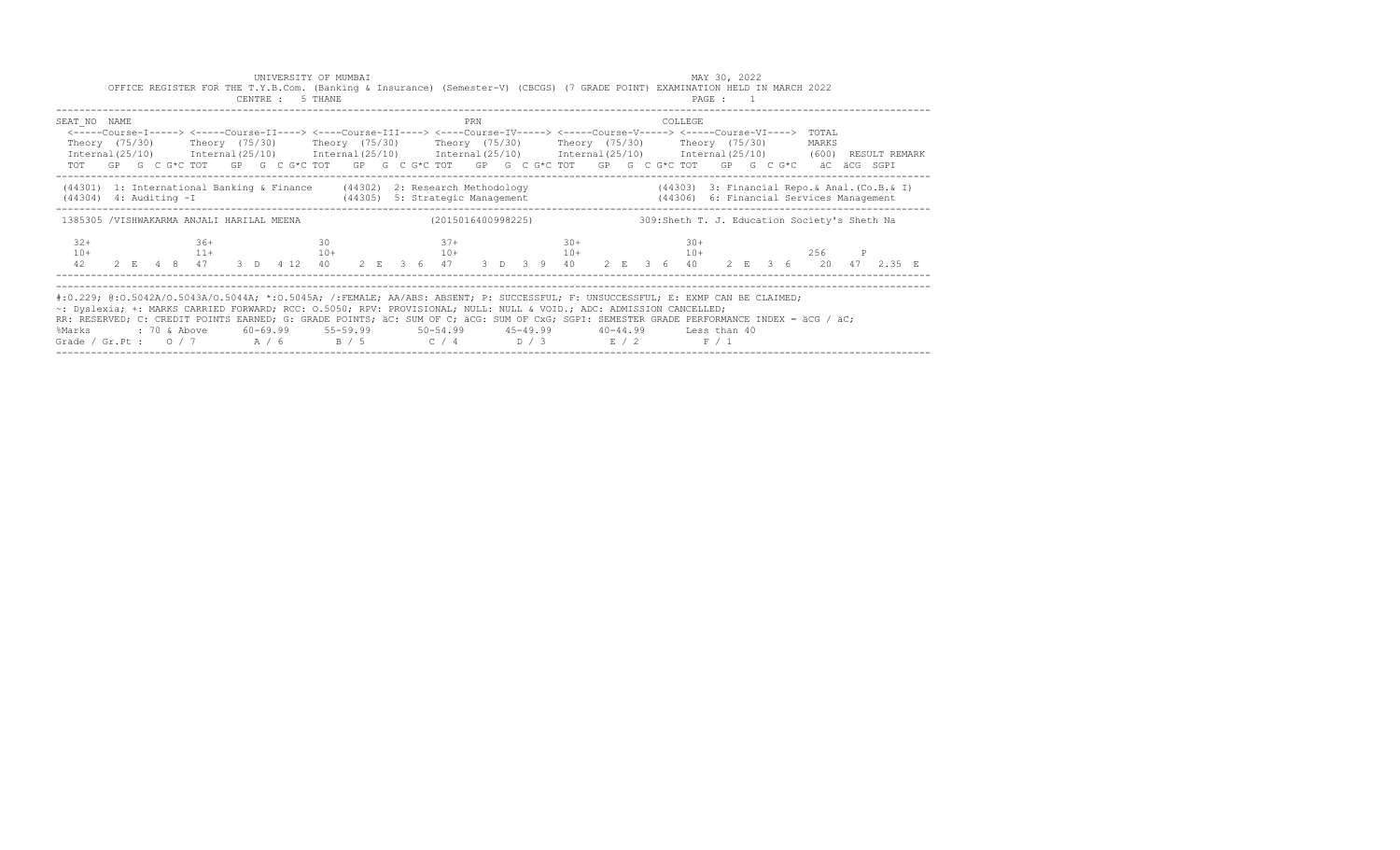|                                                                                                                                                                                                                                                                                                                                                                                                                                                                                                                            |  |  |       |  | CENTRE : 5 THANE |  |  |        |            |  | OFFICE REGISTER FOR THE T.Y.B.Com. (Banking & Insurance) (Semester-V) (CBCGS) (7 GRADE POINT) EXAMINATION HELD IN MARCH 2022                         |  |  |         |       | PAGE : 1 |  |                                               |  |               |  |
|----------------------------------------------------------------------------------------------------------------------------------------------------------------------------------------------------------------------------------------------------------------------------------------------------------------------------------------------------------------------------------------------------------------------------------------------------------------------------------------------------------------------------|--|--|-------|--|------------------|--|--|--------|------------|--|------------------------------------------------------------------------------------------------------------------------------------------------------|--|--|---------|-------|----------|--|-----------------------------------------------|--|---------------|--|
| SEAT NO NAME<br><-----Course-I-----> <----Course-II----> <----Course-III----> <----Course-IV-----> <----Course-V-----> <----Course-VI----><br>Theory (75/30)    Theory (75/30)    Theory (75/30)    Theory (75/30)    Theory (75/30)    Theory (75/30)<br>$International (25/10)$ $International (25/10)$ $International (25/10)$ $International (25/10)$ $International (25/10)$ $International (25/10)$ $(600)$<br>TOT GP G C G*C TOT GP G C G*C TOT GP G C G*C TOT GP G C G*C TOT GP G C G*C TOT GP G C G*C aC aCG SGPI |  |  |       |  |                  |  |  |        | <b>PRN</b> |  |                                                                                                                                                      |  |  | COLLEGE |       |          |  | TOTAL<br>MARKS                                |  | RESULT REMARK |  |
| (44301) 1: International Banking & Finance (44302) 2: Research Methodology (44303) 3: Financial Repo. & Anal. (Co.B. & I)<br>$(44304)$ 4: Auditing $-I$                                                                                                                                                                                                                                                                                                                                                                    |  |  |       |  |                  |  |  |        |            |  | (44305) 5: Strategic Management (44306) 6: Financial Services Management                                                                             |  |  |         |       |          |  |                                               |  |               |  |
| 1385305 /VISHWAKARMA ANJALI HARILAL MEENA                                                                                                                                                                                                                                                                                                                                                                                                                                                                                  |  |  |       |  |                  |  |  |        |            |  | (2015016400998225)                                                                                                                                   |  |  |         |       |          |  | 309: Sheth T. J. Education Society's Sheth Na |  |               |  |
| $32+$                                                                                                                                                                                                                                                                                                                                                                                                                                                                                                                      |  |  | $36+$ |  | 30               |  |  | $37 +$ |            |  | $30+$<br>$10+$<br>$11+$<br>$10+$<br>$10+$<br>$10+$<br>$10+$<br>$10+$<br>$10+$<br>$10+$<br>$10+$<br>$10+$<br>$256$ P<br>$256$ P<br>$256$ P<br>$256$ P |  |  |         | $30+$ |          |  |                                               |  |               |  |
| #:0.229; @:0.5042A/0.5043A/0.5044A; *:0.5045A; /:FEMALE; AA/ABS: ABSENT; P: SUCCESSFUL; F: UNSUCCESSFUL; E: EXMP CAN BE CLAIMED;<br>~: Dyslexia; +: MARKS CARRIED FORWARD; RCC: 0.5050; RPV: PROVISIONAL; NULL: NULL & VOID.; ADC: ADMISSION CANCELLED;<br>RR: RESERVED; C: CREDIT POINTS EARNED; G: GRADE POINTS; äC: SUM OF C; äCG: SUM OF CxG; SGPI: SEMESTER GRADE PERFORMANCE INDEX = äCG / äC;<br>%Marks<br>Grade / Gr.Pt: $0/7$ A / 6 B / 5 C / 4 D / 3 E / 2 F / 1                                                 |  |  |       |  |                  |  |  |        |            |  | : 70 & Above       60–69.99       55–59.99        50–54.99        45–49.99       40–44.99       Less than 40                                         |  |  |         |       |          |  |                                               |  |               |  |

UNIVERSITY OF MUMBAI MAY 30, 2022